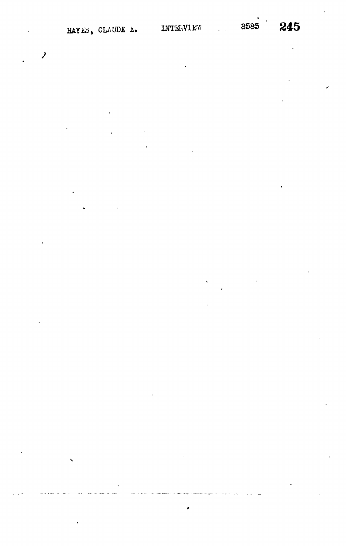$\overline{\phantom{a}}$ 

 $\overline{\phantom{0}}$ 

í

i<br>Lind

245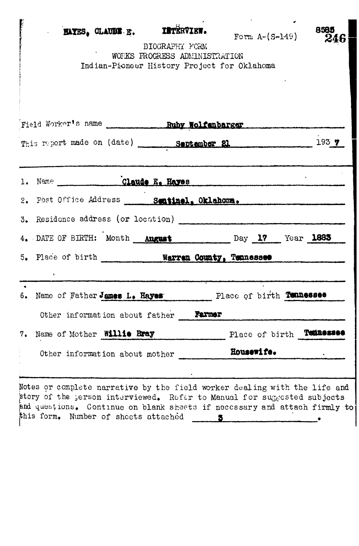| HAYES, CLAUBE E. INTERVIEW.<br><b>BIOGRAPHY FORM</b><br>WORKS PROGRESS ADMINISTRATION<br>Indian-Pioneer History Project for Oklahoma                                                                                                                                      | 8585<br>Form $A - (S - 149)$<br>246 |
|---------------------------------------------------------------------------------------------------------------------------------------------------------------------------------------------------------------------------------------------------------------------------|-------------------------------------|
| Field Worker's name Ruby Wolfenbarger                                                                                                                                                                                                                                     |                                     |
| This report made on (date) September 21                                                                                                                                                                                                                                   | 1937                                |
| 1. Name Claude E. Haves                                                                                                                                                                                                                                                   |                                     |
| 2. Post Office Address ______ Sentinel, Oklahoma.                                                                                                                                                                                                                         |                                     |
|                                                                                                                                                                                                                                                                           |                                     |
| 4. DATE OF BIRTH: Month August Day 17 Year 1883                                                                                                                                                                                                                           |                                     |
| 5. Place of birth ___________ Warren County, Tennessee                                                                                                                                                                                                                    |                                     |
| 6. Name of Father James L. Hayes Manuel Place of birth Tunnessee                                                                                                                                                                                                          |                                     |
| Other information about father Farmer                                                                                                                                                                                                                                     |                                     |
| 7. Name of Mother Willie Bray                                                                                                                                                                                                                                             | Place of birth Tenness              |
| Other information about mother                                                                                                                                                                                                                                            | <b>Housewife.</b>                   |
| Notes or complete narrative by the field worker dealing with the life and<br>story of the person interviewed. Refer to Manual for suggested subjects<br>and questions. Continue on blank sheets if necessary and attach firmly to<br>this form. Number of sheets attached |                                     |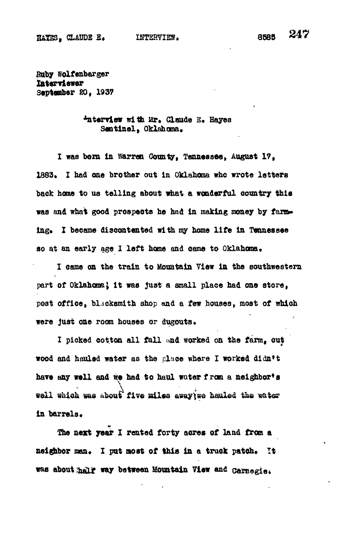## 247

**Baby Wolfenbarger Interviewer September £0, 1937**

## **Witerview with Mr. Claude E. Hayes Sentinel, Oklahoma.**

**X was bora In Warren County, Tennessee, August 17, 1883. X had one brother out in Oklahoma who wrote letters back hone to as telling about what a wonderful country this** was and what good prospects he had in making money by farming. I became discontented with my home life in Tennessee **so at an early age I left home and oame to Oklahoma,**

**X came on the train to Mouatain View in the southwestern part of Oklahoma; it was just a small place had one store, post officet blacksmith shop and a few houses, most of which were just one room houses or dugouts.** 

**X picked cotton all fall and worked on the farm, out wood and hauled water as the place where X worked didn't have any well and we had to haul water from a neighbor<sup>4</sup>s** well which was about five miles away\we hauled the water **in barrels.**

**The next year X rented forty acres of land from a** neighbor man. I put most of this in a truck patch. It was about helr way between Mountain View and Carnegie.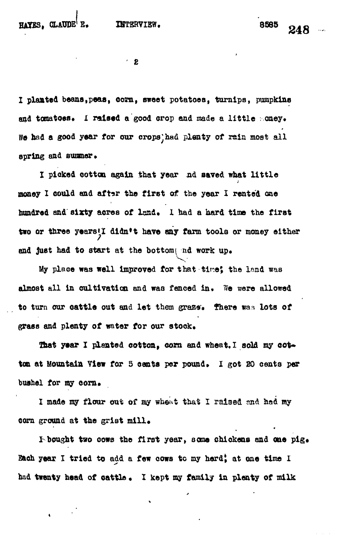$\mathbf{E}$ 

**I planted beans,peas, corn, sweet potatoes, turnips, pumpkins** and tomatoes. I raised a good orop and made a little soney. We had a good year for our crops, had plenty of rain most all spring and summer.

I picked cotton again that year nd saved what little **money I could and after the first of the year I rented one** hundred and sixty acres of land. I had a hard time the first two or three years!I didn't have any farm tools or money either and just had to start at the bottom( nd work up.

**Sly plaee was well improved for that tine5 the land was** almost all in cultivation and was fenced in. We were allowed to turn our cattle out and let them graze. There was lots of grass and plenty of water for our stock.

That year I planted cotton, corn and wheat, I sold my cotton at Mountain View for 5 cents per pound. I got 20 cents per bushel for my corn.

I made my flour out of my wheat that I raised and had my com ground at the grist mill.

**I-bought two cows the first year, some chickens and one pig.** Bach year I tried to add a few cows to my herd, at one time I had twenty head of cattle. I kept my family in plenty of milk